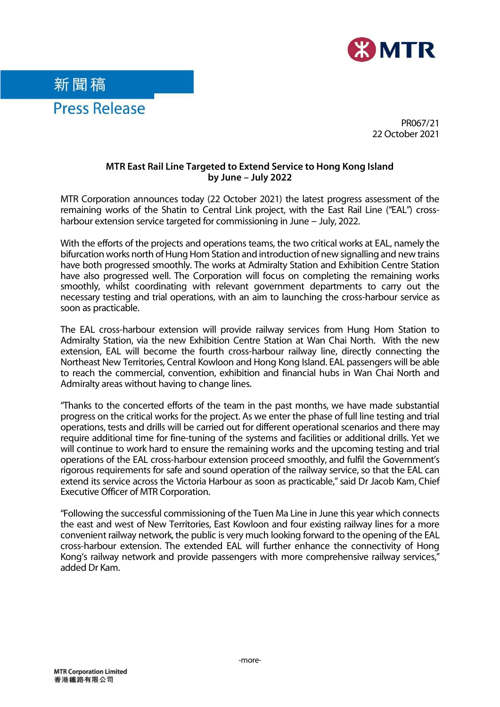

新聞稿 **Press Release** 

PR067/21 22 October 2021

#### **MTR East Rail Line Targeted to Extend Service to Hong Kong Island by June – July 2022**

MTR Corporation announces today (22 October 2021) the latest progress assessment of the remaining works of the Shatin to Central Link project, with the East Rail Line ("EAL") crossharbour extension service targeted for commissioning in June – July, 2022.

With the efforts of the projects and operations teams, the two critical works at EAL, namely the bifurcation works north of Hung Hom Station and introduction of new signalling and new trains have both progressed smoothly. The works at Admiralty Station and Exhibition Centre Station have also progressed well. The Corporation will focus on completing the remaining works smoothly, whilst coordinating with relevant government departments to carry out the necessary testing and trial operations, with an aim to launching the cross-harbour service as soon as practicable.

The EAL cross-harbour extension will provide railway services from Hung Hom Station to Admiralty Station, via the new Exhibition Centre Station at Wan Chai North. With the new extension, EAL will become the fourth cross-harbour railway line, directly connecting the Northeast New Territories, Central Kowloon and Hong Kong Island. EAL passengers will be able to reach the commercial, convention, exhibition and financial hubs in Wan Chai North and Admiralty areas without having to change lines.

"Thanks to the concerted efforts of the team in the past months, we have made substantial progress on the critical works for the project. As we enter the phase of full line testing and trial operations, tests and drills will be carried out for different operational scenarios and there may require additional time for fine-tuning of the systems and facilities or additional drills. Yet we will continue to work hard to ensure the remaining works and the upcoming testing and trial operations of the EAL cross-harbour extension proceed smoothly, and fulfil the Government's rigorous requirements for safe and sound operation of the railway service, so that the EAL can extend its service across the Victoria Harbour as soon as practicable," said Dr Jacob Kam, Chief Executive Officer of MTR Corporation.

"Following the successful commissioning of the Tuen Ma Line in June this year which connects the east and west of New Territories, East Kowloon and four existing railway lines for a more convenient railway network, the public is very much looking forward to the opening of the EAL cross-harbour extension. The extended EAL will further enhance the connectivity of Hong Kong's railway network and provide passengers with more comprehensive railway services," added Dr Kam.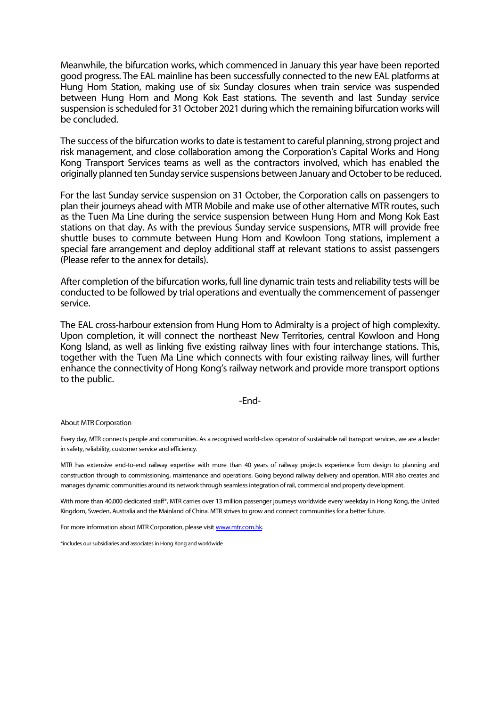Meanwhile, the bifurcation works, which commenced in January this year have been reported good progress. The EAL mainline has been successfully connected to the new EAL platforms at Hung Hom Station, making use of six Sunday closures when train service was suspended between Hung Hom and Mong Kok East stations. The seventh and last Sunday service suspension is scheduled for 31 October 2021 during which the remaining bifurcation works will be concluded.

The success of the bifurcation works to date is testament to careful planning, strong project and risk management, and close collaboration among the Corporation's Capital Works and Hong Kong Transport Services teams as well as the contractors involved, which has enabled the originally planned ten Sunday service suspensions between January and October to be reduced.

For the last Sunday service suspension on 31 October, the Corporation calls on passengers to plan their journeys ahead with MTR Mobile and make use of other alternative MTR routes, such as the Tuen Ma Line during the service suspension between Hung Hom and Mong Kok East stations on that day. As with the previous Sunday service suspensions, MTR will provide free shuttle buses to commute between Hung Hom and Kowloon Tong stations, implement a special fare arrangement and deploy additional staff at relevant stations to assist passengers (Please refer to the annex for details).

After completion of the bifurcation works, full line dynamic train tests and reliability tests will be conducted to be followed by trial operations and eventually the commencement of passenger service.

The EAL cross-harbour extension from Hung Hom to Admiralty is a project of high complexity. Upon completion, it will connect the northeast New Territories, central Kowloon and Hong Kong Island, as well as linking five existing railway lines with four interchange stations. This, together with the Tuen Ma Line which connects with four existing railway lines, will further enhance the connectivity of Hong Kong's railway network and provide more transport options to the public.

#### -End-

#### About MTR Corporation

Every day, MTR connects people and communities. As a recognised world-class operator of sustainable rail transport services, we are a leader in safety, reliability, customer service and efficiency.

MTR has extensive end-to-end railway expertise with more than 40 years of railway projects experience from design to planning and construction through to commissioning, maintenance and operations. Going beyond railway delivery and operation, MTR also creates and manages dynamic communities around its network through seamless integration of rail, commercial and property development.

With more than 40,000 dedicated staff\*, MTR carries over 13 million passenger journeys worldwide every weekday in Hong Kong, the United Kingdom, Sweden, Australia and the Mainland of China. MTR strives to grow and connect communities for a better future.

For more information about MTR Corporation, please visi[t www.mtr.com.hk.](http://www.mtr.com.hk/)

\*includes our subsidiaries and associates in Hong Kong and worldwide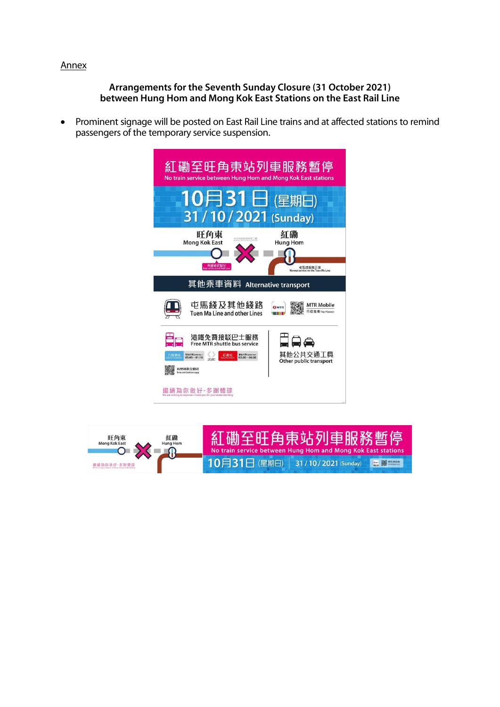### Annex

#### **Arrangements for the Seventh Sunday Closure (31 October 2021) between Hung Hom and Mong Kok East Stations on the East Rail Line**

• Prominent signage will be posted on East Rail Line trains and at affected stations to remind passengers of the temporary service suspension.



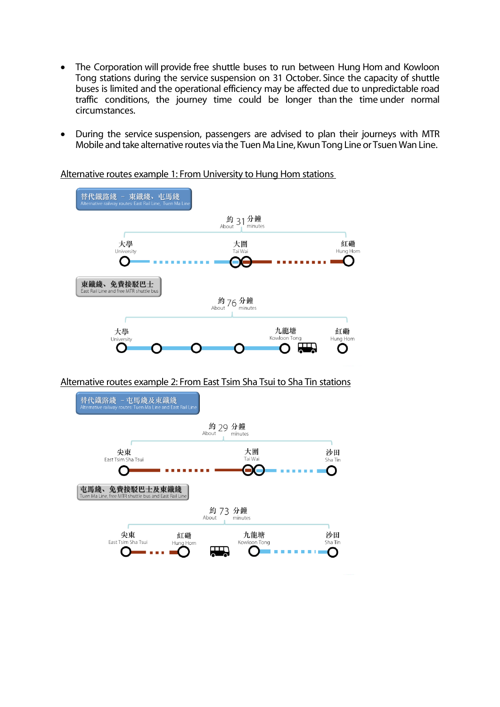- The Corporation will provide free shuttle buses to run between Hung Hom and Kowloon Tong stations during the service suspension on 31 October. Since the capacity of shuttle buses is limited and the operational efficiency may be affected due to unpredictable road traffic conditions, the journey time could be longer than the time under normal circumstances.
- During the service suspension, passengers are advised to plan their journeys with MTR Mobile and take alternative routes via the Tuen Ma Line, Kwun Tong Line or Tsuen Wan Line.

Alternative routes example 1: From University to Hung Hom stations



Alternative routes example 2: From East Tsim Sha Tsui to Sha Tin stations

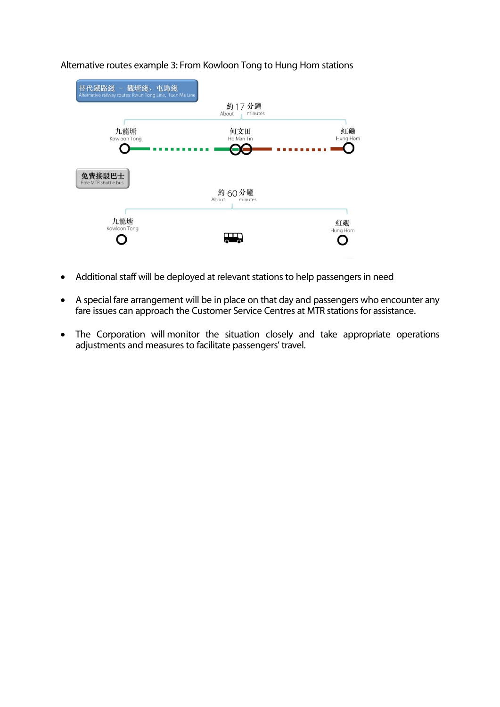

# Alternative routes example 3: From Kowloon Tong to Hung Hom stations

- Additional staff will be deployed at relevant stations to help passengers in need
- A special fare arrangement will be in place on that day and passengers who encounter any fare issues can approach the Customer Service Centres at MTR stations for assistance.
- The Corporation will monitor the situation closely and take appropriate operations adjustments and measures to facilitate passengers' travel.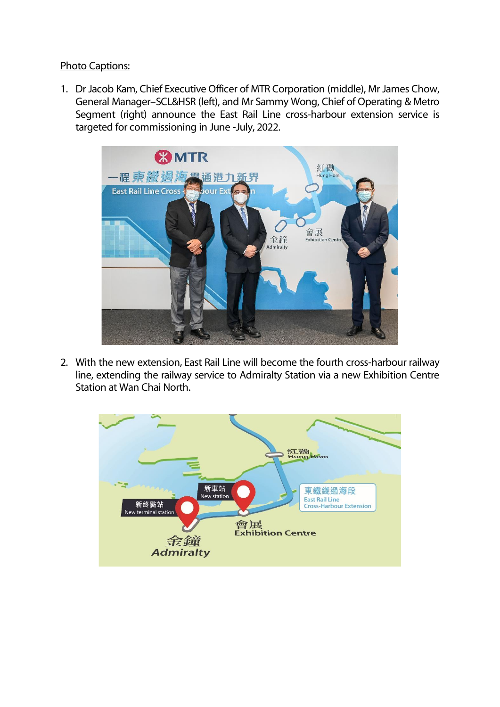## Photo Captions:

1. Dr Jacob Kam, Chief Executive Officer of MTR Corporation (middle), Mr James Chow, General Manager–SCL&HSR (left), and Mr Sammy Wong, Chief of Operating & Metro Segment (right) announce the East Rail Line cross-harbour extension service is targeted for commissioning in June -July, 2022.



2. With the new extension, East Rail Line will become the fourth cross-harbour railway line, extending the railway service to Admiralty Station via a new Exhibition Centre Station at Wan Chai North.

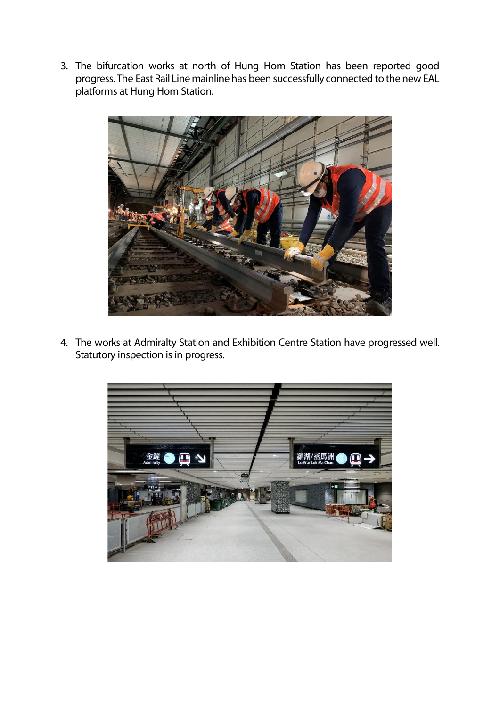3. The bifurcation works at north of Hung Hom Station has been reported good progress. The East Rail Line mainline has been successfully connected to the new EAL platforms at Hung Hom Station.



4. The works at Admiralty Station and Exhibition Centre Station have progressed well. Statutory inspection is in progress.